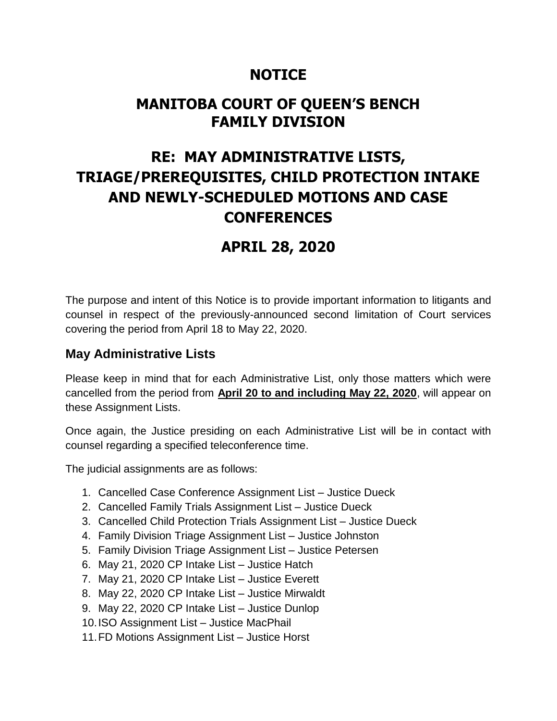## **NOTICE**

## **MANITOBA COURT OF QUEEN'S BENCH FAMILY DIVISION**

# **RE: MAY ADMINISTRATIVE LISTS, TRIAGE/PREREQUISITES, CHILD PROTECTION INTAKE AND NEWLY-SCHEDULED MOTIONS AND CASE CONFERENCES**

## **APRIL 28, 2020**

The purpose and intent of this Notice is to provide important information to litigants and counsel in respect of the previously-announced second limitation of Court services covering the period from April 18 to May 22, 2020.

### **May Administrative Lists**

Please keep in mind that for each Administrative List, only those matters which were cancelled from the period from **April 20 to and including May 22, 2020**, will appear on these Assignment Lists.

Once again, the Justice presiding on each Administrative List will be in contact with counsel regarding a specified teleconference time.

The judicial assignments are as follows:

- 1. Cancelled Case Conference Assignment List Justice Dueck
- 2. Cancelled Family Trials Assignment List Justice Dueck
- 3. Cancelled Child Protection Trials Assignment List Justice Dueck
- 4. Family Division Triage Assignment List Justice Johnston
- 5. Family Division Triage Assignment List Justice Petersen
- 6. May 21, 2020 CP Intake List Justice Hatch
- 7. May 21, 2020 CP Intake List Justice Everett
- 8. May 22, 2020 CP Intake List Justice Mirwaldt
- 9. May 22, 2020 CP Intake List Justice Dunlop
- 10.ISO Assignment List Justice MacPhail
- 11.FD Motions Assignment List Justice Horst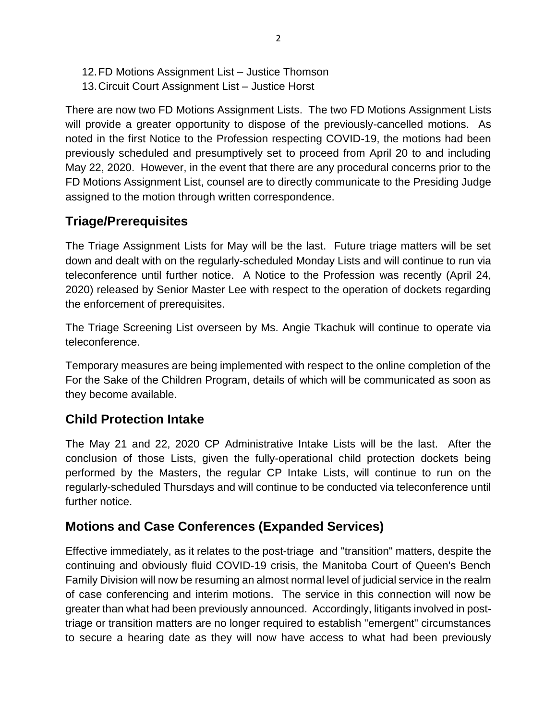- 12.FD Motions Assignment List Justice Thomson
- 13.Circuit Court Assignment List Justice Horst

There are now two FD Motions Assignment Lists. The two FD Motions Assignment Lists will provide a greater opportunity to dispose of the previously-cancelled motions. As noted in the first Notice to the Profession respecting COVID-19, the motions had been previously scheduled and presumptively set to proceed from April 20 to and including May 22, 2020. However, in the event that there are any procedural concerns prior to the FD Motions Assignment List, counsel are to directly communicate to the Presiding Judge assigned to the motion through written correspondence.

## **Triage/Prerequisites**

The Triage Assignment Lists for May will be the last. Future triage matters will be set down and dealt with on the regularly-scheduled Monday Lists and will continue to run via teleconference until further notice. A Notice to the Profession was recently (April 24, 2020) released by Senior Master Lee with respect to the operation of dockets regarding the enforcement of prerequisites.

The Triage Screening List overseen by Ms. Angie Tkachuk will continue to operate via teleconference.

Temporary measures are being implemented with respect to the online completion of the For the Sake of the Children Program, details of which will be communicated as soon as they become available.

## **Child Protection Intake**

The May 21 and 22, 2020 CP Administrative Intake Lists will be the last. After the conclusion of those Lists, given the fully-operational child protection dockets being performed by the Masters, the regular CP Intake Lists, will continue to run on the regularly-scheduled Thursdays and will continue to be conducted via teleconference until further notice.

## **Motions and Case Conferences (Expanded Services)**

Effective immediately, as it relates to the post-triage and "transition" matters, despite the continuing and obviously fluid COVID-19 crisis, the Manitoba Court of Queen's Bench Family Division will now be resuming an almost normal level of judicial service in the realm of case conferencing and interim motions. The service in this connection will now be greater than what had been previously announced. Accordingly, litigants involved in posttriage or transition matters are no longer required to establish "emergent" circumstances to secure a hearing date as they will now have access to what had been previously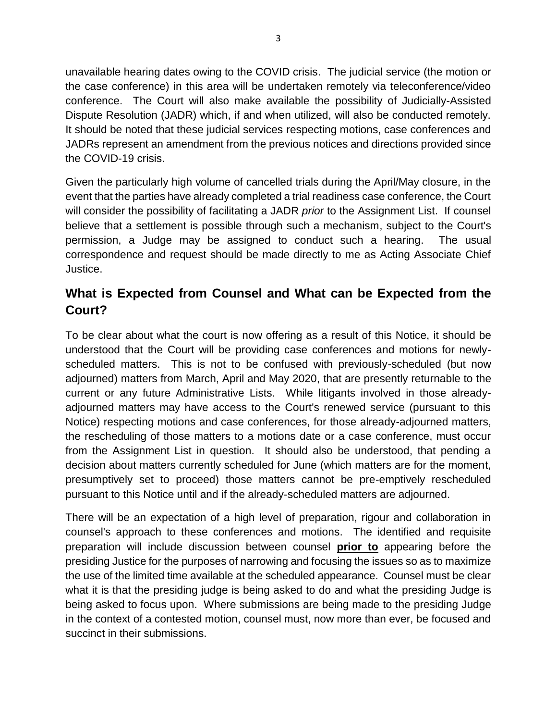unavailable hearing dates owing to the COVID crisis. The judicial service (the motion or the case conference) in this area will be undertaken remotely via teleconference/video conference. The Court will also make available the possibility of Judicially-Assisted Dispute Resolution (JADR) which, if and when utilized, will also be conducted remotely. It should be noted that these judicial services respecting motions, case conferences and JADRs represent an amendment from the previous notices and directions provided since the COVID-19 crisis.

Given the particularly high volume of cancelled trials during the April/May closure, in the event that the parties have already completed a trial readiness case conference, the Court will consider the possibility of facilitating a JADR *prior* to the Assignment List. If counsel believe that a settlement is possible through such a mechanism, subject to the Court's permission, a Judge may be assigned to conduct such a hearing. The usual correspondence and request should be made directly to me as Acting Associate Chief Justice.

## **What is Expected from Counsel and What can be Expected from the Court?**

To be clear about what the court is now offering as a result of this Notice, it should be understood that the Court will be providing case conferences and motions for newlyscheduled matters. This is not to be confused with previously-scheduled (but now adjourned) matters from March, April and May 2020, that are presently returnable to the current or any future Administrative Lists. While litigants involved in those alreadyadjourned matters may have access to the Court's renewed service (pursuant to this Notice) respecting motions and case conferences, for those already-adjourned matters, the rescheduling of those matters to a motions date or a case conference, must occur from the Assignment List in question. It should also be understood, that pending a decision about matters currently scheduled for June (which matters are for the moment, presumptively set to proceed) those matters cannot be pre-emptively rescheduled pursuant to this Notice until and if the already-scheduled matters are adjourned.

There will be an expectation of a high level of preparation, rigour and collaboration in counsel's approach to these conferences and motions. The identified and requisite preparation will include discussion between counsel **prior to** appearing before the presiding Justice for the purposes of narrowing and focusing the issues so as to maximize the use of the limited time available at the scheduled appearance. Counsel must be clear what it is that the presiding judge is being asked to do and what the presiding Judge is being asked to focus upon. Where submissions are being made to the presiding Judge in the context of a contested motion, counsel must, now more than ever, be focused and succinct in their submissions.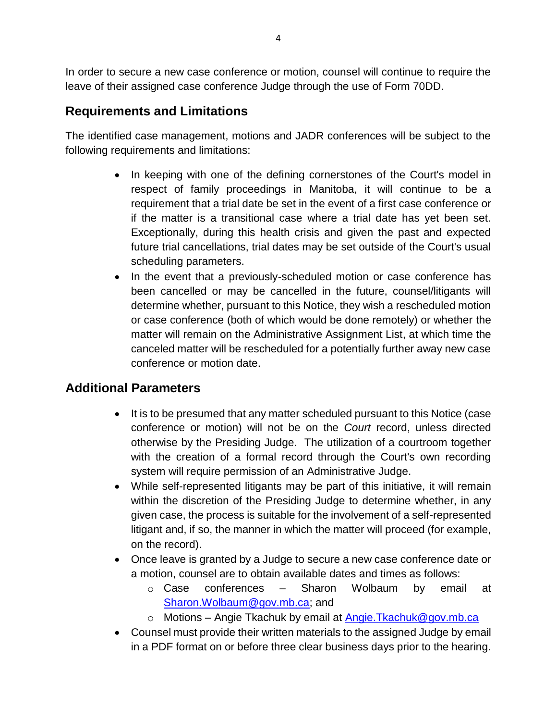In order to secure a new case conference or motion, counsel will continue to require the leave of their assigned case conference Judge through the use of Form 70DD.

### **Requirements and Limitations**

The identified case management, motions and JADR conferences will be subject to the following requirements and limitations:

- In keeping with one of the defining cornerstones of the Court's model in respect of family proceedings in Manitoba, it will continue to be a requirement that a trial date be set in the event of a first case conference or if the matter is a transitional case where a trial date has yet been set. Exceptionally, during this health crisis and given the past and expected future trial cancellations, trial dates may be set outside of the Court's usual scheduling parameters.
- In the event that a previously-scheduled motion or case conference has been cancelled or may be cancelled in the future, counsel/litigants will determine whether, pursuant to this Notice, they wish a rescheduled motion or case conference (both of which would be done remotely) or whether the matter will remain on the Administrative Assignment List, at which time the canceled matter will be rescheduled for a potentially further away new case conference or motion date.

## **Additional Parameters**

- It is to be presumed that any matter scheduled pursuant to this Notice (case conference or motion) will not be on the *Court* record, unless directed otherwise by the Presiding Judge. The utilization of a courtroom together with the creation of a formal record through the Court's own recording system will require permission of an Administrative Judge.
- While self-represented litigants may be part of this initiative, it will remain within the discretion of the Presiding Judge to determine whether, in any given case, the process is suitable for the involvement of a self-represented litigant and, if so, the manner in which the matter will proceed (for example, on the record).
- Once leave is granted by a Judge to secure a new case conference date or a motion, counsel are to obtain available dates and times as follows:
	- o Case conferences Sharon Wolbaum by email at [Sharon.Wolbaum@gov.mb.ca;](mailto:Sharon.Wolbaum@gov.mb.ca) and
	- o Motions Angie Tkachuk by email at [Angie.Tkachuk@gov.mb.ca](mailto:Angie.Tkachuk@gov.mb.ca)
- Counsel must provide their written materials to the assigned Judge by email in a PDF format on or before three clear business days prior to the hearing.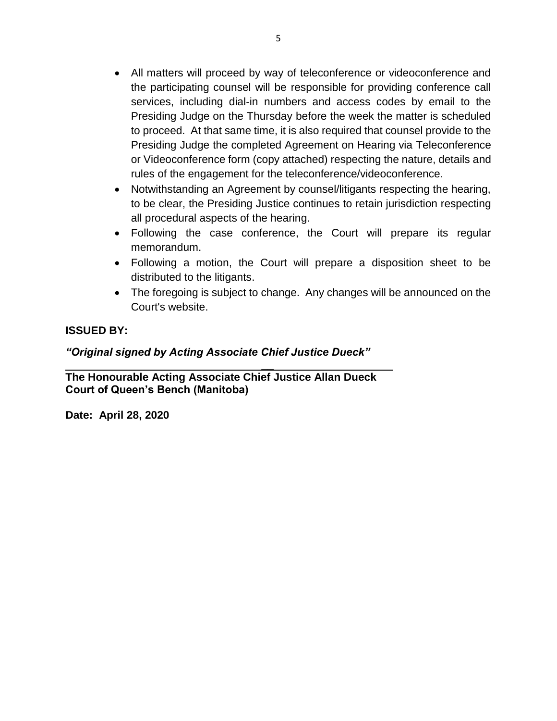- All matters will proceed by way of teleconference or videoconference and the participating counsel will be responsible for providing conference call services, including dial-in numbers and access codes by email to the Presiding Judge on the Thursday before the week the matter is scheduled to proceed. At that same time, it is also required that counsel provide to the Presiding Judge the completed Agreement on Hearing via Teleconference or Videoconference form (copy attached) respecting the nature, details and rules of the engagement for the teleconference/videoconference.
- Notwithstanding an Agreement by counsel/litigants respecting the hearing, to be clear, the Presiding Justice continues to retain jurisdiction respecting all procedural aspects of the hearing.
- Following the case conference, the Court will prepare its regular memorandum.
- Following a motion, the Court will prepare a disposition sheet to be distributed to the litigants.
- The foregoing is subject to change. Any changes will be announced on the Court's website.

#### **ISSUED BY:**

#### *"Original signed by Acting Associate Chief Justice Dueck"*

*\_\_* **The Honourable Acting Associate Chief Justice Allan Dueck Court of Queen's Bench (Manitoba)**

**Date: April 28, 2020**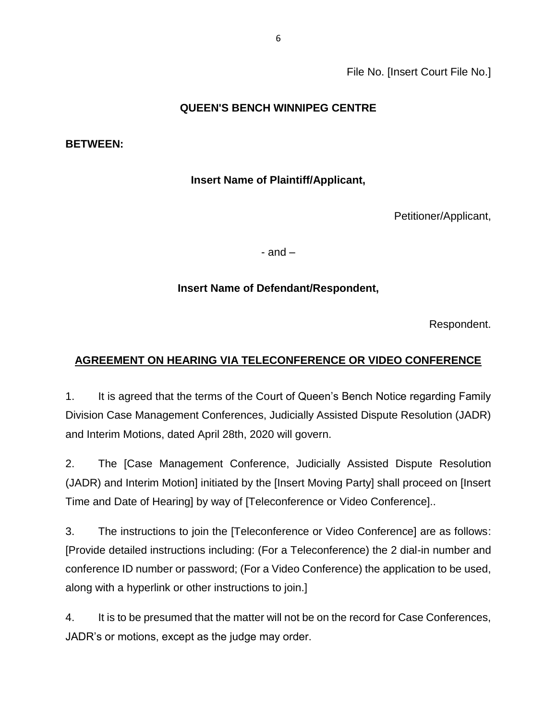File No. [Insert Court File No.]

#### **QUEEN'S BENCH WINNIPEG CENTRE**

#### **BETWEEN:**

#### **Insert Name of Plaintiff/Applicant,**

Petitioner/Applicant,

- and –

#### **Insert Name of Defendant/Respondent,**

Respondent.

### **AGREEMENT ON HEARING VIA TELECONFERENCE OR VIDEO CONFERENCE**

1. It is agreed that the terms of the Court of Queen's Bench Notice regarding Family Division Case Management Conferences, Judicially Assisted Dispute Resolution (JADR) and Interim Motions, dated April 28th, 2020 will govern.

2. The [Case Management Conference, Judicially Assisted Dispute Resolution (JADR) and Interim Motion] initiated by the [Insert Moving Party] shall proceed on [Insert Time and Date of Hearing] by way of [Teleconference or Video Conference]..

3. The instructions to join the [Teleconference or Video Conference] are as follows: [Provide detailed instructions including: (For a Teleconference) the 2 dial-in number and conference ID number or password; (For a Video Conference) the application to be used, along with a hyperlink or other instructions to join.]

4. It is to be presumed that the matter will not be on the record for Case Conferences, JADR's or motions, except as the judge may order.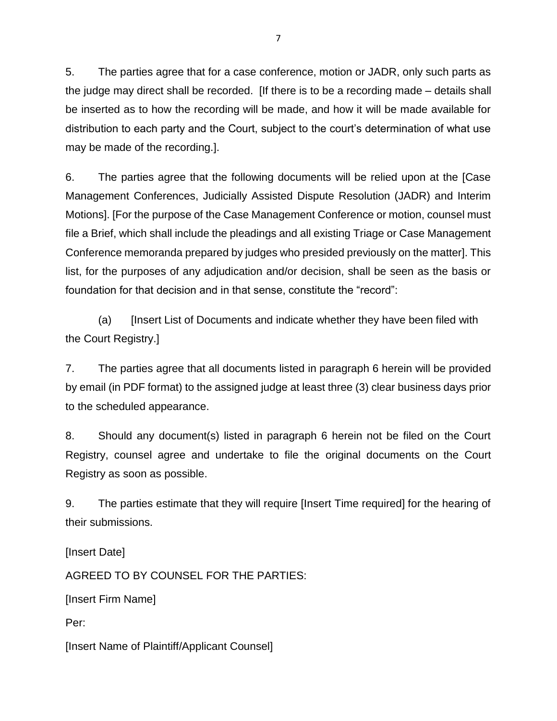5. The parties agree that for a case conference, motion or JADR, only such parts as the judge may direct shall be recorded. [If there is to be a recording made – details shall be inserted as to how the recording will be made, and how it will be made available for distribution to each party and the Court, subject to the court's determination of what use may be made of the recording.].

6. The parties agree that the following documents will be relied upon at the [Case Management Conferences, Judicially Assisted Dispute Resolution (JADR) and Interim Motions]. [For the purpose of the Case Management Conference or motion, counsel must file a Brief, which shall include the pleadings and all existing Triage or Case Management Conference memoranda prepared by judges who presided previously on the matter]. This list, for the purposes of any adjudication and/or decision, shall be seen as the basis or foundation for that decision and in that sense, constitute the "record":

(a) [Insert List of Documents and indicate whether they have been filed with the Court Registry.]

7. The parties agree that all documents listed in paragraph 6 herein will be provided by email (in PDF format) to the assigned judge at least three (3) clear business days prior to the scheduled appearance.

8. Should any document(s) listed in paragraph 6 herein not be filed on the Court Registry, counsel agree and undertake to file the original documents on the Court Registry as soon as possible.

9. The parties estimate that they will require [Insert Time required] for the hearing of their submissions.

[Insert Date]

AGREED TO BY COUNSEL FOR THE PARTIES:

[Insert Firm Name]

Per:

[Insert Name of Plaintiff/Applicant Counsel]